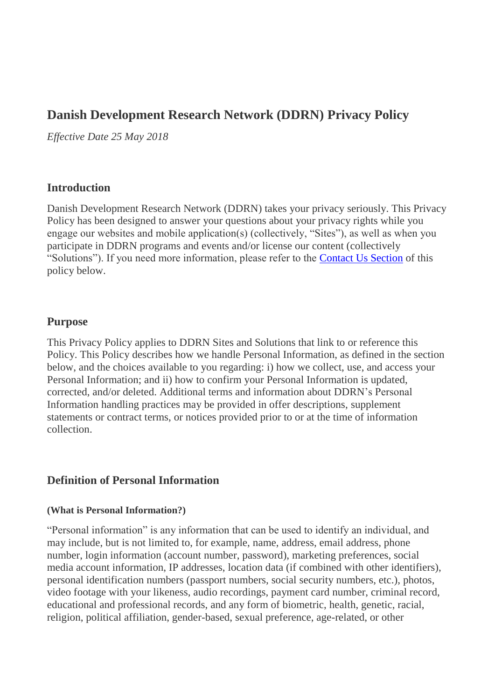# **Danish Development Research Network (DDRN) Privacy Policy**

*Effective Date 25 May 2018*

### **Introduction**

Danish Development Research Network (DDRN) takes your privacy seriously. This Privacy Policy has been designed to answer your questions about your privacy rights while you engage our websites and mobile application(s) (collectively, "Sites"), as well as when you participate in DDRN programs and events and/or license our content (collectively "Solutions"). If you need more information, please refer to the [Contact Us Section](#page-10-0) of this policy below.

### **Purpose**

This Privacy Policy applies to DDRN Sites and Solutions that link to or reference this Policy. This Policy describes how we handle Personal Information, as defined in the section below, and the choices available to you regarding: i) how we collect, use, and access your Personal Information; and ii) how to confirm your Personal Information is updated, corrected, and/or deleted. Additional terms and information about DDRN's Personal Information handling practices may be provided in offer descriptions, supplement statements or contract terms, or notices provided prior to or at the time of information collection.

### **Definition of Personal Information**

#### **(What is Personal Information?)**

"Personal information" is any information that can be used to identify an individual, and may include, but is not limited to, for example, name, address, email address, phone number, login information (account number, password), marketing preferences, social media account information, IP addresses, location data (if combined with other identifiers), personal identification numbers (passport numbers, social security numbers, etc.), photos, video footage with your likeness, audio recordings, payment card number, criminal record, educational and professional records, and any form of biometric, health, genetic, racial, religion, political affiliation, gender-based, sexual preference, age-related, or other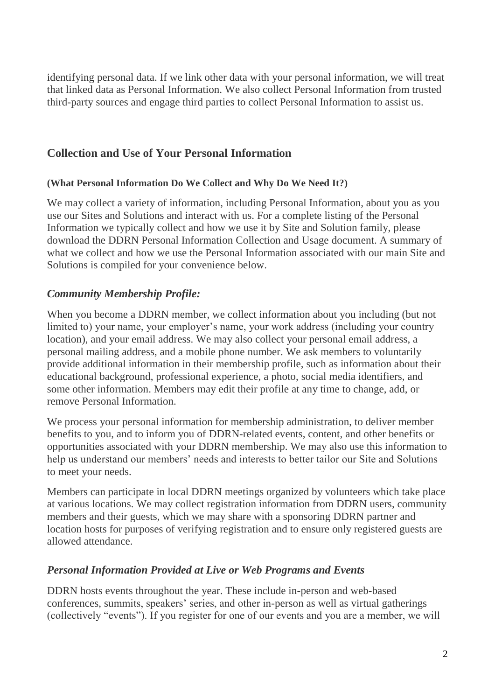identifying personal data. If we link other data with your personal information, we will treat that linked data as Personal Information. We also collect Personal Information from trusted third-party sources and engage third parties to collect Personal Information to assist us.

## **Collection and Use of Your Personal Information**

### **(What Personal Information Do We Collect and Why Do We Need It?)**

We may collect a variety of information, including Personal Information, about you as you use our Sites and Solutions and interact with us. For a complete listing of the Personal Information we typically collect and how we use it by Site and Solution family, please download the DDRN Personal Information Collection and Usage document. A summary of what we collect and how we use the Personal Information associated with our main Site and Solutions is compiled for your convenience below.

## *Community Membership Profile:*

When you become a DDRN member, we collect information about you including (but not limited to) your name, your employer's name, your work address (including your country location), and your email address. We may also collect your personal email address, a personal mailing address, and a mobile phone number. We ask members to voluntarily provide additional information in their membership profile, such as information about their educational background, professional experience, a photo, social media identifiers, and some other information. Members may edit their profile at any time to change, add, or remove Personal Information.

We process your personal information for membership administration, to deliver member benefits to you, and to inform you of DDRN-related events, content, and other benefits or opportunities associated with your DDRN membership. We may also use this information to help us understand our members' needs and interests to better tailor our Site and Solutions to meet your needs.

Members can participate in local DDRN meetings organized by volunteers which take place at various locations. We may collect registration information from DDRN users, community members and their guests, which we may share with a sponsoring DDRN partner and location hosts for purposes of verifying registration and to ensure only registered guests are allowed attendance.

### *Personal Information Provided at Live or Web Programs and Events*

DDRN hosts events throughout the year. These include in-person and web-based conferences, summits, speakers' series, and other in-person as well as virtual gatherings (collectively "events"). If you register for one of our events and you are a member, we will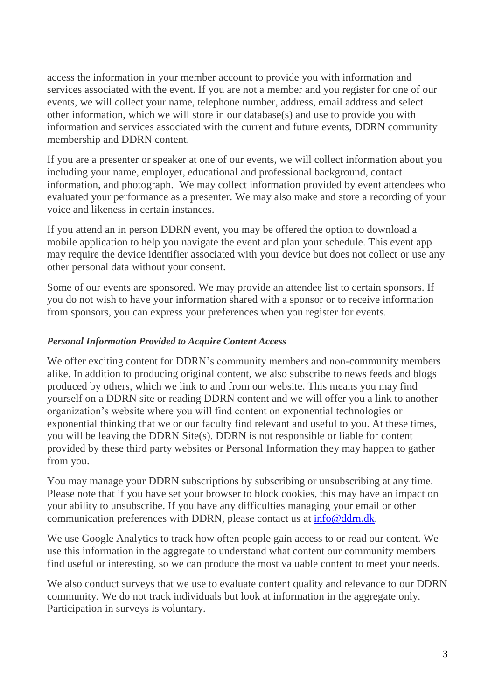access the information in your member account to provide you with information and services associated with the event. If you are not a member and you register for one of our events, we will collect your name, telephone number, address, email address and select other information, which we will store in our database(s) and use to provide you with information and services associated with the current and future events, DDRN community membership and DDRN content.

If you are a presenter or speaker at one of our events, we will collect information about you including your name, employer, educational and professional background, contact information, and photograph. We may collect information provided by event attendees who evaluated your performance as a presenter. We may also make and store a recording of your voice and likeness in certain instances.

If you attend an in person DDRN event, you may be offered the option to download a mobile application to help you navigate the event and plan your schedule. This event app may require the device identifier associated with your device but does not collect or use any other personal data without your consent.

Some of our events are sponsored. We may provide an attendee list to certain sponsors. If you do not wish to have your information shared with a sponsor or to receive information from sponsors, you can express your preferences when you register for events.

### *Personal Information Provided to Acquire Content Access*

We offer exciting content for DDRN's community members and non-community members alike. In addition to producing original content, we also subscribe to news feeds and blogs produced by others, which we link to and from our website. This means you may find yourself on a DDRN site or reading DDRN content and we will offer you a link to another organization's website where you will find content on exponential technologies or exponential thinking that we or our faculty find relevant and useful to you. At these times, you will be leaving the DDRN Site(s). DDRN is not responsible or liable for content provided by these third party websites or Personal Information they may happen to gather from you.

You may manage your DDRN subscriptions by subscribing or unsubscribing at any time. Please note that if you have set your browser to block cookies, this may have an impact on your ability to unsubscribe. If you have any difficulties managing your email or other communication preferences with DDRN, please contact us at [info@ddrn.dk.](mailto:info@ddrn.dk)

We use Google Analytics to track how often people gain access to or read our content. We use this information in the aggregate to understand what content our community members find useful or interesting, so we can produce the most valuable content to meet your needs.

We also conduct surveys that we use to evaluate content quality and relevance to our DDRN community. We do not track individuals but look at information in the aggregate only. Participation in surveys is voluntary.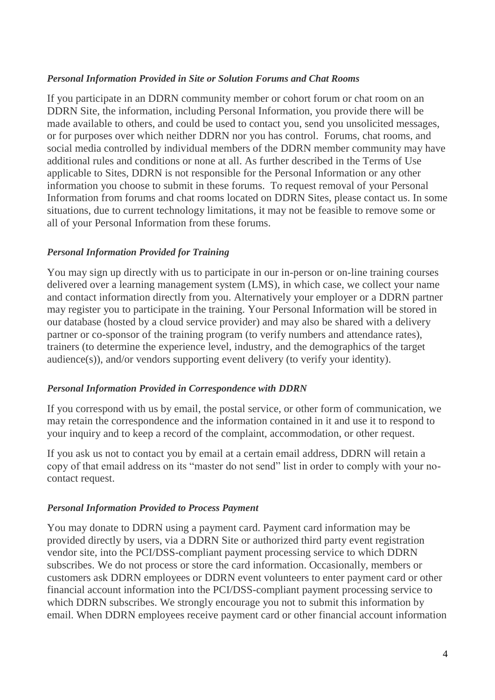#### *Personal Information Provided in Site or Solution Forums and Chat Rooms*

If you participate in an DDRN community member or cohort forum or chat room on an DDRN Site, the information, including Personal Information, you provide there will be made available to others, and could be used to contact you, send you unsolicited messages, or for purposes over which neither DDRN nor you has control. Forums, chat rooms, and social media controlled by individual members of the DDRN member community may have additional rules and conditions or none at all. As further described in the Terms of Use applicable to Sites, DDRN is not responsible for the Personal Information or any other information you choose to submit in these forums. To request removal of your Personal Information from forums and chat rooms located on DDRN Sites, please contact us. In some situations, due to current technology limitations, it may not be feasible to remove some or all of your Personal Information from these forums.

### *Personal Information Provided for Training*

You may sign up directly with us to participate in our in-person or on-line training courses delivered over a learning management system (LMS), in which case, we collect your name and contact information directly from you. Alternatively your employer or a DDRN partner may register you to participate in the training. Your Personal Information will be stored in our database (hosted by a cloud service provider) and may also be shared with a delivery partner or co-sponsor of the training program (to verify numbers and attendance rates), trainers (to determine the experience level, industry, and the demographics of the target audience(s)), and/or vendors supporting event delivery (to verify your identity).

### *Personal Information Provided in Correspondence with DDRN*

If you correspond with us by email, the postal service, or other form of communication, we may retain the correspondence and the information contained in it and use it to respond to your inquiry and to keep a record of the complaint, accommodation, or other request.

If you ask us not to contact you by email at a certain email address, DDRN will retain a copy of that email address on its "master do not send" list in order to comply with your nocontact request.

### *Personal Information Provided to Process Payment*

You may donate to DDRN using a payment card. Payment card information may be provided directly by users, via a DDRN Site or authorized third party event registration vendor site, into the PCI/DSS-compliant payment processing service to which DDRN subscribes. We do not process or store the card information. Occasionally, members or customers ask DDRN employees or DDRN event volunteers to enter payment card or other financial account information into the PCI/DSS-compliant payment processing service to which DDRN subscribes. We strongly encourage you not to submit this information by email. When DDRN employees receive payment card or other financial account information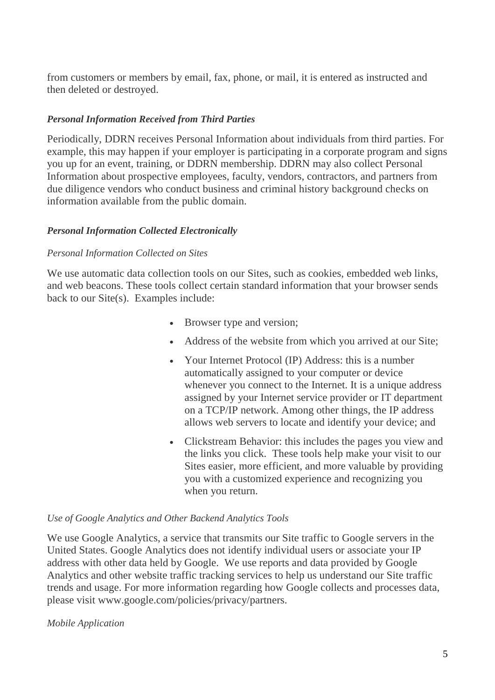from customers or members by email, fax, phone, or mail, it is entered as instructed and then deleted or destroyed.

### *Personal Information Received from Third Parties*

Periodically, DDRN receives Personal Information about individuals from third parties. For example, this may happen if your employer is participating in a corporate program and signs you up for an event, training, or DDRN membership. DDRN may also collect Personal Information about prospective employees, faculty, vendors, contractors, and partners from due diligence vendors who conduct business and criminal history background checks on information available from the public domain.

#### *Personal Information Collected Electronically*

#### *Personal Information Collected on Sites*

We use automatic data collection tools on our Sites, such as cookies, embedded web links, and web beacons. These tools collect certain standard information that your browser sends back to our Site(s). Examples include:

- Browser type and version;
- Address of the website from which you arrived at our Site;
- Your Internet Protocol (IP) Address: this is a number automatically assigned to your computer or device whenever you connect to the Internet. It is a unique address assigned by your Internet service provider or IT department on a TCP/IP network. Among other things, the IP address allows web servers to locate and identify your device; and
- Clickstream Behavior: this includes the pages you view and the links you click. These tools help make your visit to our Sites easier, more efficient, and more valuable by providing you with a customized experience and recognizing you when you return.

#### *Use of Google Analytics and Other Backend Analytics Tools*

We use Google Analytics, a service that transmits our Site traffic to Google servers in the United States. Google Analytics does not identify individual users or associate your IP address with other data held by Google. We use reports and data provided by Google Analytics and other website traffic tracking services to help us understand our Site traffic trends and usage. For more information regarding how Google collects and processes data, please visit www.google.com/policies/privacy/partners.

#### *Mobile Application*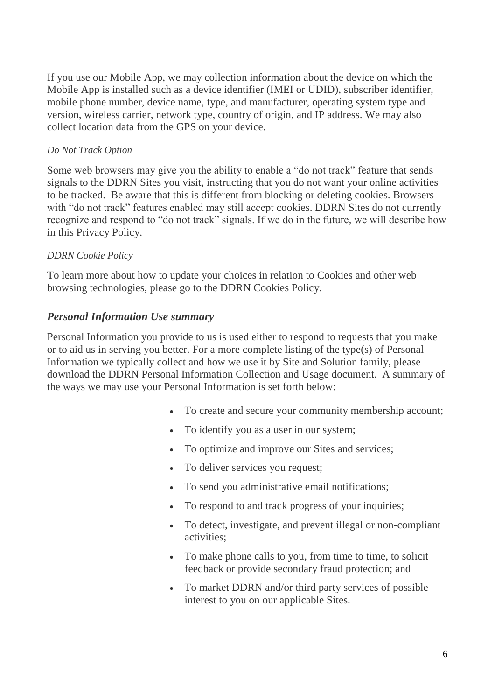If you use our Mobile App, we may collection information about the device on which the Mobile App is installed such as a device identifier (IMEI or UDID), subscriber identifier, mobile phone number, device name, type, and manufacturer, operating system type and version, wireless carrier, network type, country of origin, and IP address. We may also collect location data from the GPS on your device.

#### *Do Not Track Option*

Some web browsers may give you the ability to enable a "do not track" feature that sends signals to the DDRN Sites you visit, instructing that you do not want your online activities to be tracked. Be aware that this is different from blocking or deleting cookies. Browsers with "do not track" features enabled may still accept cookies. DDRN Sites do not currently recognize and respond to "do not track" signals. If we do in the future, we will describe how in this Privacy Policy.

### *DDRN Cookie Policy*

To learn more about how to update your choices in relation to Cookies and other web browsing technologies, please go to the DDRN Cookies Policy.

### *Personal Information Use summary*

Personal Information you provide to us is used either to respond to requests that you make or to aid us in serving you better. For a more complete listing of the type(s) of Personal Information we typically collect and how we use it by Site and Solution family, please download the DDRN Personal Information Collection and Usage document. A summary of the ways we may use your Personal Information is set forth below:

- To create and secure your community membership account;
- To identify you as a user in our system;
- To optimize and improve our Sites and services;
- To deliver services you request;
- To send you administrative email notifications:
- To respond to and track progress of your inquiries;
- To detect, investigate, and prevent illegal or non-compliant activities;
- To make phone calls to you, from time to time, to solicit feedback or provide secondary fraud protection; and
- To market DDRN and/or third party services of possible interest to you on our applicable Sites.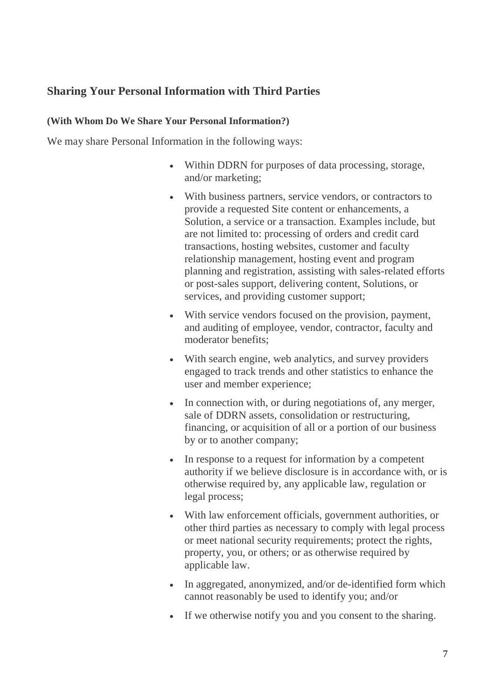## **Sharing Your Personal Information with Third Parties**

#### **(With Whom Do We Share Your Personal Information?)**

We may share Personal Information in the following ways:

- Within DDRN for purposes of data processing, storage, and/or marketing;
- With business partners, service vendors, or contractors to provide a requested Site content or enhancements, a Solution, a service or a transaction. Examples include, but are not limited to: processing of orders and credit card transactions, hosting websites, customer and faculty relationship management, hosting event and program planning and registration, assisting with sales-related efforts or post-sales support, delivering content, Solutions, or services, and providing customer support;
- With service vendors focused on the provision, payment, and auditing of employee, vendor, contractor, faculty and moderator benefits;
- With search engine, web analytics, and survey providers engaged to track trends and other statistics to enhance the user and member experience;
- In connection with, or during negotiations of, any merger, sale of DDRN assets, consolidation or restructuring, financing, or acquisition of all or a portion of our business by or to another company;
- In response to a request for information by a competent authority if we believe disclosure is in accordance with, or is otherwise required by, any applicable law, regulation or legal process;
- With law enforcement officials, government authorities, or other third parties as necessary to comply with legal process or meet national security requirements; protect the rights, property, you, or others; or as otherwise required by applicable law.
- In aggregated, anonymized, and/or de-identified form which cannot reasonably be used to identify you; and/or
- If we otherwise notify you and you consent to the sharing.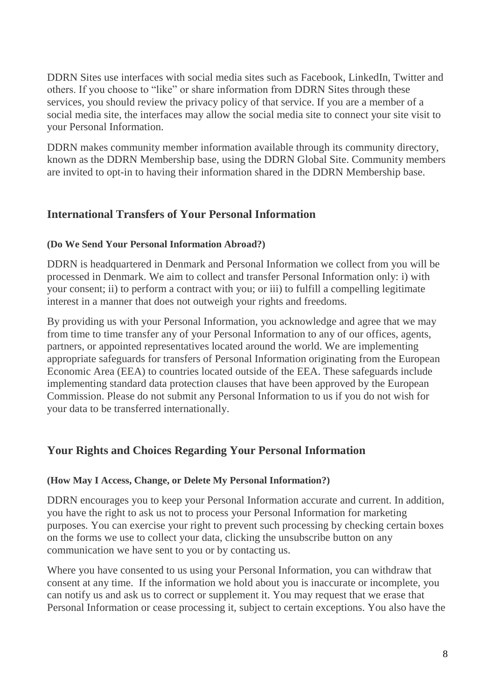DDRN Sites use interfaces with social media sites such as Facebook, LinkedIn, Twitter and others. If you choose to "like" or share information from DDRN Sites through these services, you should review the privacy policy of that service. If you are a member of a social media site, the interfaces may allow the social media site to connect your site visit to your Personal Information.

DDRN makes community member information available through its community directory, known as the DDRN Membership base, using the DDRN Global Site. Community members are invited to opt-in to having their information shared in the DDRN Membership base.

## **International Transfers of Your Personal Information**

### **(Do We Send Your Personal Information Abroad?)**

DDRN is headquartered in Denmark and Personal Information we collect from you will be processed in Denmark. We aim to collect and transfer Personal Information only: i) with your consent; ii) to perform a contract with you; or iii) to fulfill a compelling legitimate interest in a manner that does not outweigh your rights and freedoms.

By providing us with your Personal Information, you acknowledge and agree that we may from time to time transfer any of your Personal Information to any of our offices, agents, partners, or appointed representatives located around the world. We are implementing appropriate safeguards for transfers of Personal Information originating from the European Economic Area (EEA) to countries located outside of the EEA. These safeguards include implementing standard data protection clauses that have been approved by the European Commission. Please do not submit any Personal Information to us if you do not wish for your data to be transferred internationally.

### **Your Rights and Choices Regarding Your Personal Information**

### **(How May I Access, Change, or Delete My Personal Information?)**

DDRN encourages you to keep your Personal Information accurate and current. In addition, you have the right to ask us not to process your Personal Information for marketing purposes. You can exercise your right to prevent such processing by checking certain boxes on the forms we use to collect your data, clicking the unsubscribe button on any communication we have sent to you or by contacting us.

Where you have consented to us using your Personal Information, you can withdraw that consent at any time. If the information we hold about you is inaccurate or incomplete, you can notify us and ask us to correct or supplement it. You may request that we erase that Personal Information or cease processing it, subject to certain exceptions. You also have the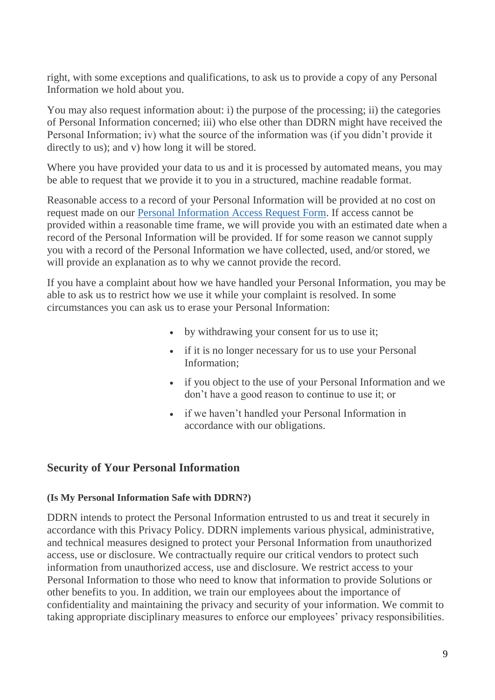right, with some exceptions and qualifications, to ask us to provide a copy of any Personal Information we hold about you.

You may also request information about: i) the purpose of the processing; ii) the categories of Personal Information concerned; iii) who else other than DDRN might have received the Personal Information; iv) what the source of the information was (if you didn't provide it directly to us); and v) how long it will be stored.

Where you have provided your data to us and it is processed by automated means, you may be able to request that we provide it to you in a structured, machine readable format.

Reasonable access to a record of your Personal Information will be provided at no cost on request made on our [Personal Information Access Request Form.](https://su.org/contact/privacy-and-data-access/) If access cannot be provided within a reasonable time frame, we will provide you with an estimated date when a record of the Personal Information will be provided. If for some reason we cannot supply you with a record of the Personal Information we have collected, used, and/or stored, we will provide an explanation as to why we cannot provide the record.

If you have a complaint about how we have handled your Personal Information, you may be able to ask us to restrict how we use it while your complaint is resolved. In some circumstances you can ask us to erase your Personal Information:

- by withdrawing your consent for us to use it;
- if it is no longer necessary for us to use your Personal Information;
- if you object to the use of your Personal Information and we don't have a good reason to continue to use it; or
- if we haven't handled your Personal Information in accordance with our obligations.

### **Security of Your Personal Information**

#### **(Is My Personal Information Safe with DDRN?)**

DDRN intends to protect the Personal Information entrusted to us and treat it securely in accordance with this Privacy Policy. DDRN implements various physical, administrative, and technical measures designed to protect your Personal Information from unauthorized access, use or disclosure. We contractually require our critical vendors to protect such information from unauthorized access, use and disclosure. We restrict access to your Personal Information to those who need to know that information to provide Solutions or other benefits to you. In addition, we train our employees about the importance of confidentiality and maintaining the privacy and security of your information. We commit to taking appropriate disciplinary measures to enforce our employees' privacy responsibilities.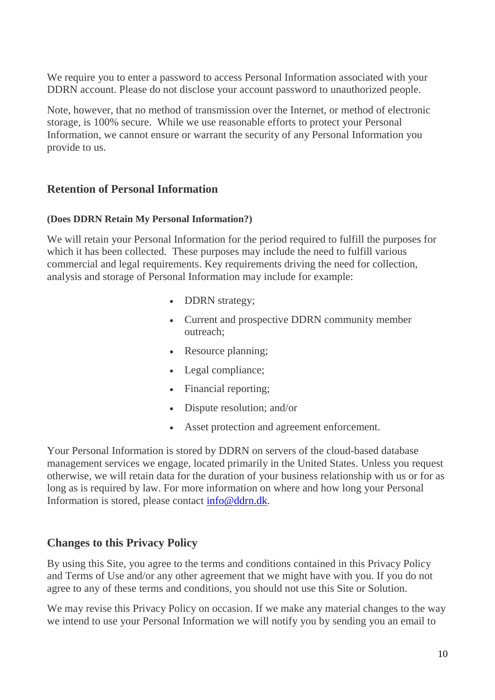We require you to enter a password to access Personal Information associated with your DDRN account. Please do not disclose your account password to unauthorized people.

Note, however, that no method of transmission over the Internet, or method of electronic storage, is 100% secure. While we use reasonable efforts to protect your Personal Information, we cannot ensure or warrant the security of any Personal Information you provide to us.

## **Retention of Personal Information**

### **(Does DDRN Retain My Personal Information?)**

We will retain your Personal Information for the period required to fulfill the purposes for which it has been collected. These purposes may include the need to fulfill various commercial and legal requirements. Key requirements driving the need for collection, analysis and storage of Personal Information may include for example:

- DDRN strategy;
- Current and prospective DDRN community member outreach;
- Resource planning;
- Legal compliance;
- Financial reporting;
- Dispute resolution; and/or
- Asset protection and agreement enforcement.

Your Personal Information is stored by DDRN on servers of the cloud-based database management services we engage, located primarily in the United States. Unless you request otherwise, we will retain data for the duration of your business relationship with us or for as long as is required by law. For more information on where and how long your Personal Information is stored, please contact [info@ddrn.dk.](mailto:info@ddrn.dk)

## **Changes to this Privacy Policy**

By using this Site, you agree to the terms and conditions contained in this Privacy Policy and Terms of Use and/or any other agreement that we might have with you. If you do not agree to any of these terms and conditions, you should not use this Site or Solution.

We may revise this Privacy Policy on occasion. If we make any material changes to the way we intend to use your Personal Information we will notify you by sending you an email to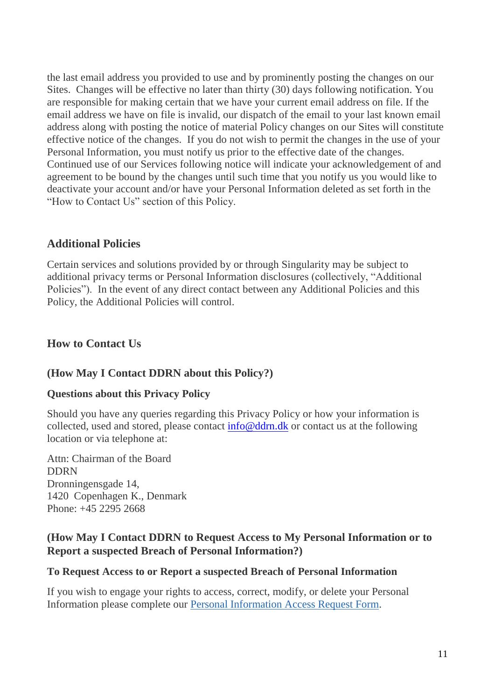the last email address you provided to use and by prominently posting the changes on our Sites. Changes will be effective no later than thirty (30) days following notification. You are responsible for making certain that we have your current email address on file. If the email address we have on file is invalid, our dispatch of the email to your last known email address along with posting the notice of material Policy changes on our Sites will constitute effective notice of the changes. If you do not wish to permit the changes in the use of your Personal Information, you must notify us prior to the effective date of the changes. Continued use of our Services following notice will indicate your acknowledgement of and agreement to be bound by the changes until such time that you notify us you would like to deactivate your account and/or have your Personal Information deleted as set forth in the "How to Contact Us" section of this Policy.

## **Additional Policies**

Certain services and solutions provided by or through Singularity may be subject to additional privacy terms or Personal Information disclosures (collectively, "Additional Policies"). In the event of any direct contact between any Additional Policies and this Policy, the Additional Policies will control.

## <span id="page-10-0"></span>**How to Contact Us**

### **(How May I Contact DDRN about this Policy?)**

### **Questions about this Privacy Policy**

Should you have any queries regarding this Privacy Policy or how your information is collected, used and stored, please contact  $\inf \circ \mathcal{Q}$  ddrn.dk or contact us at the following location or via telephone at:

Attn: Chairman of the Board DDRN Dronningensgade 14, 1420 Copenhagen K., Denmark Phone: +45 2295 2668

## **(How May I Contact DDRN to Request Access to My Personal Information or to Report a suspected Breach of Personal Information?)**

### **To Request Access to or Report a suspected Breach of Personal Information**

If you wish to engage your rights to access, correct, modify, or delete your Personal Information please complete our [Personal Information Access Request Form.](https://su.org/contact/privacy-and-data-access/)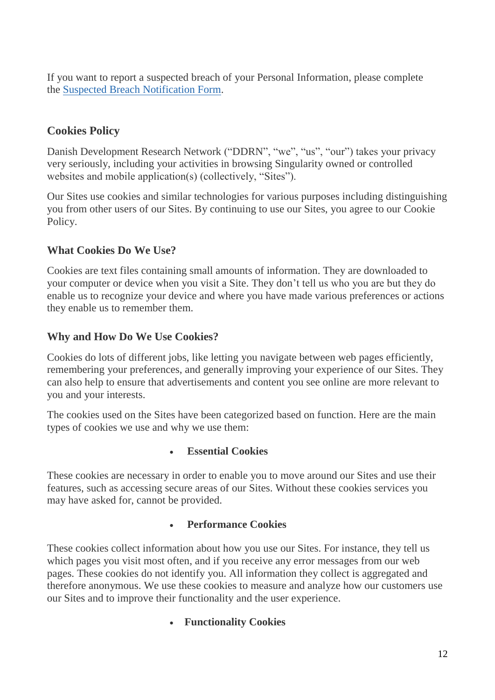If you want to report a suspected breach of your Personal Information, please complete the [Suspected Breach Notification Form.](https://su.org/contact/breach-notification/)

## **Cookies Policy**

Danish Development Research Network ("DDRN", "we", "us", "our") takes your privacy very seriously, including your activities in browsing Singularity owned or controlled websites and mobile application(s) (collectively, "Sites").

Our Sites use cookies and similar technologies for various purposes including distinguishing you from other users of our Sites. By continuing to use our Sites, you agree to our Cookie Policy.

## **What Cookies Do We Use?**

Cookies are text files containing small amounts of information. They are downloaded to your computer or device when you visit a Site. They don't tell us who you are but they do enable us to recognize your device and where you have made various preferences or actions they enable us to remember them.

## **Why and How Do We Use Cookies?**

Cookies do lots of different jobs, like letting you navigate between web pages efficiently, remembering your preferences, and generally improving your experience of our Sites. They can also help to ensure that advertisements and content you see online are more relevant to you and your interests.

The cookies used on the Sites have been categorized based on function. Here are the main types of cookies we use and why we use them:

### • **Essential Cookies**

These cookies are necessary in order to enable you to move around our Sites and use their features, such as accessing secure areas of our Sites. Without these cookies services you may have asked for, cannot be provided.

### • **Performance Cookies**

These cookies collect information about how you use our Sites. For instance, they tell us which pages you visit most often, and if you receive any error messages from our web pages. These cookies do not identify you. All information they collect is aggregated and therefore anonymous. We use these cookies to measure and analyze how our customers use our Sites and to improve their functionality and the user experience.

### • **Functionality Cookies**